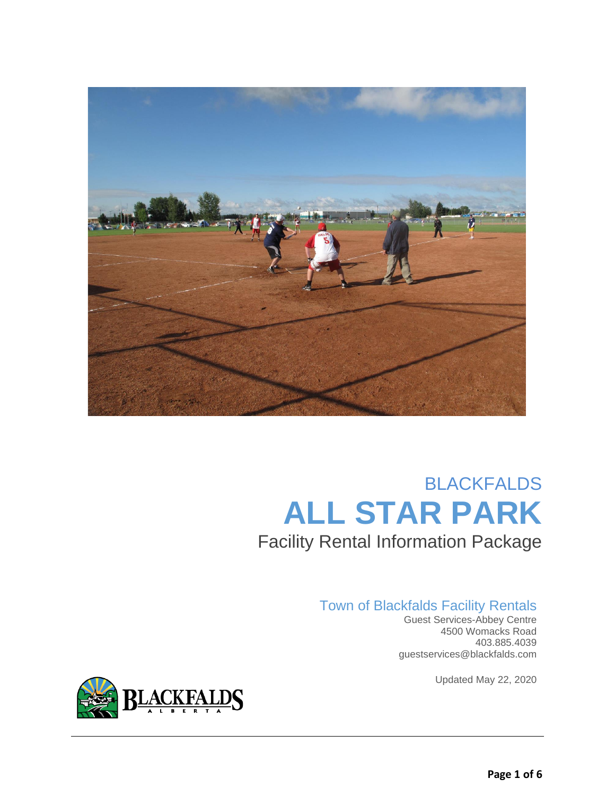

# BLACKFALDS **ALL STAR PARK** Facility Rental Information Package

## Town of Blackfalds Facility Rentals

 Guest Services-Abbey Centre 4500 Womacks Road 403.885.4039 guestservices@blackfalds.com

Updated May 22, 2020

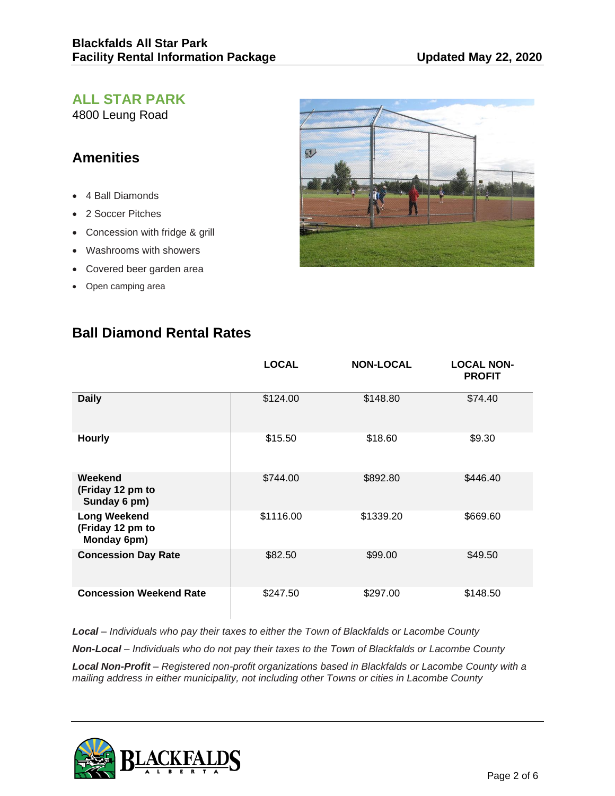## **ALL STAR PARK**

4800 Leung Road

## **Amenities**

- 4 Ball Diamonds
- 2 Soccer Pitches
- Concession with fridge & grill
- Washrooms with showers
- Covered beer garden area
- Open camping area



|                                                        | <b>LOCAL</b> | <b>NON-LOCAL</b> | <b>LOCAL NON-</b><br><b>PROFIT</b> |
|--------------------------------------------------------|--------------|------------------|------------------------------------|
| <b>Daily</b>                                           | \$124.00     | \$148.80         | \$74.40                            |
| <b>Hourly</b>                                          | \$15.50      | \$18.60          | \$9.30                             |
| Weekend<br>(Friday 12 pm to<br>Sunday 6 pm)            | \$744.00     | \$892.80         | \$446.40                           |
| <b>Long Weekend</b><br>(Friday 12 pm to<br>Monday 6pm) | \$1116.00    | \$1339.20        | \$669.60                           |
| <b>Concession Day Rate</b>                             | \$82.50      | \$99.00          | \$49.50                            |
| <b>Concession Weekend Rate</b>                         | \$247.50     | \$297.00         | \$148.50                           |

# **Ball Diamond Rental Rates**

*Local – Individuals who pay their taxes to either the Town of Blackfalds or Lacombe County Non-Local – Individuals who do not pay their taxes to the Town of Blackfalds or Lacombe County Local Non-Profit – Registered non-profit organizations based in Blackfalds or Lacombe County with a mailing address in either municipality, not including other Towns or cities in Lacombe County* 

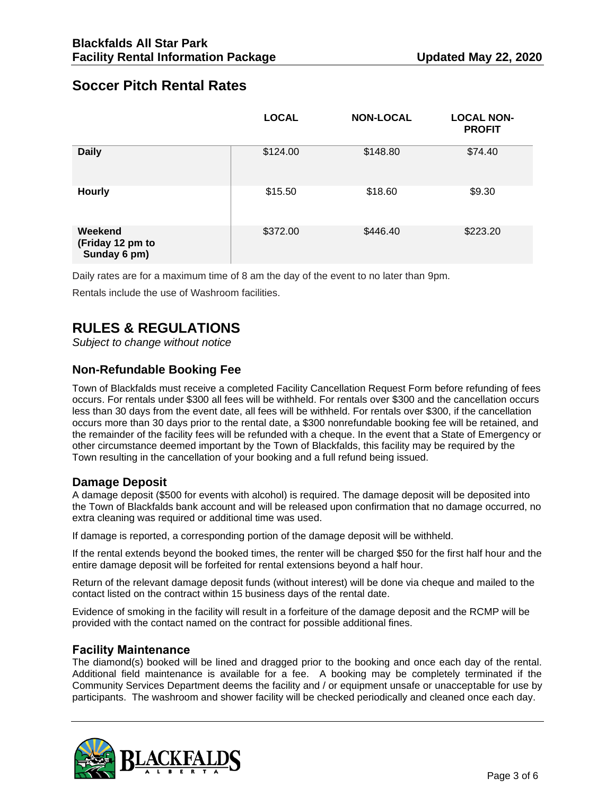## **Soccer Pitch Rental Rates**

|                                             | <b>LOCAL</b> | <b>NON-LOCAL</b> | <b>LOCAL NON-</b><br><b>PROFIT</b> |
|---------------------------------------------|--------------|------------------|------------------------------------|
| <b>Daily</b>                                | \$124.00     | \$148.80         | \$74.40                            |
| <b>Hourly</b>                               | \$15.50      | \$18.60          | \$9.30                             |
| Weekend<br>(Friday 12 pm to<br>Sunday 6 pm) | \$372.00     | \$446.40         | \$223.20                           |

Daily rates are for a maximum time of 8 am the day of the event to no later than 9pm.

Rentals include the use of Washroom facilities.

# **RULES & REGULATIONS**

*Subject to change without notice*

## **Non-Refundable Booking Fee**

Town of Blackfalds must receive a completed Facility Cancellation Request Form before refunding of fees occurs. For rentals under \$300 all fees will be withheld. For rentals over \$300 and the cancellation occurs less than 30 days from the event date, all fees will be withheld. For rentals over \$300, if the cancellation occurs more than 30 days prior to the rental date, a \$300 nonrefundable booking fee will be retained, and the remainder of the facility fees will be refunded with a cheque. In the event that a State of Emergency or other circumstance deemed important by the Town of Blackfalds, this facility may be required by the Town resulting in the cancellation of your booking and a full refund being issued.

#### **Damage Deposit**

A damage deposit (\$500 for events with alcohol) is required. The damage deposit will be deposited into the Town of Blackfalds bank account and will be released upon confirmation that no damage occurred, no extra cleaning was required or additional time was used.

If damage is reported, a corresponding portion of the damage deposit will be withheld.

If the rental extends beyond the booked times, the renter will be charged \$50 for the first half hour and the entire damage deposit will be forfeited for rental extensions beyond a half hour.

Return of the relevant damage deposit funds (without interest) will be done via cheque and mailed to the contact listed on the contract within 15 business days of the rental date.

Evidence of smoking in the facility will result in a forfeiture of the damage deposit and the RCMP will be provided with the contact named on the contract for possible additional fines.

#### **Facility Maintenance**

The diamond(s) booked will be lined and dragged prior to the booking and once each day of the rental. Additional field maintenance is available for a fee. A booking may be completely terminated if the Community Services Department deems the facility and / or equipment unsafe or unacceptable for use by participants. The washroom and shower facility will be checked periodically and cleaned once each day.

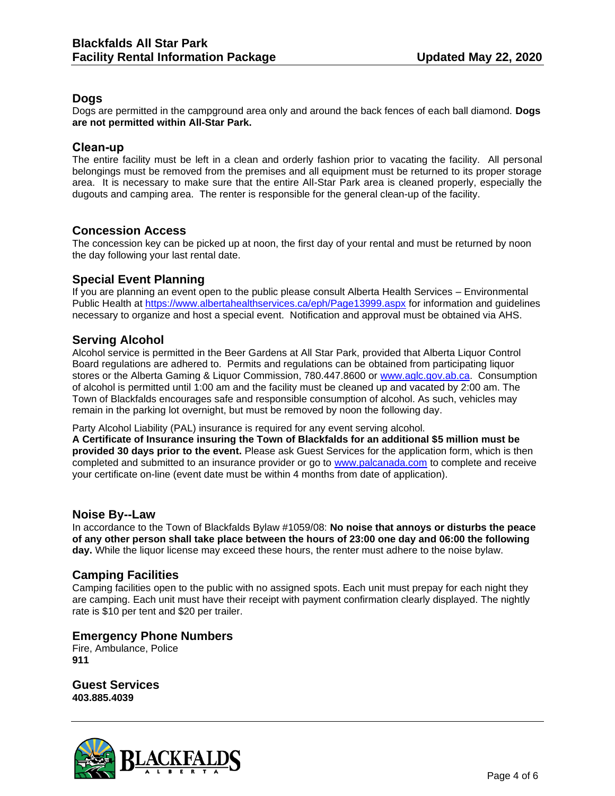### **Dogs**

Dogs are permitted in the campground area only and around the back fences of each ball diamond. **Dogs are not permitted within All-Star Park.**

#### **Clean-up**

The entire facility must be left in a clean and orderly fashion prior to vacating the facility. All personal belongings must be removed from the premises and all equipment must be returned to its proper storage area. It is necessary to make sure that the entire All-Star Park area is cleaned properly, especially the dugouts and camping area. The renter is responsible for the general clean-up of the facility.

### **Concession Access**

The concession key can be picked up at noon, the first day of your rental and must be returned by noon the day following your last rental date.

#### **Special Event Planning**

If you are planning an event open to the public please consult Alberta Health Services – Environmental Public Health at<https://www.albertahealthservices.ca/eph/Page13999.aspx> for information and guidelines necessary to organize and host a special event. Notification and approval must be obtained via AHS.

#### **Serving Alcohol**

Alcohol service is permitted in the Beer Gardens at All Star Park, provided that Alberta Liquor Control Board regulations are adhered to. Permits and regulations can be obtained from participating liquor stores or the Alberta Gaming & Liquor Commission, 780.447.8600 or [www.aglc.gov.ab.ca.](http://www.aglc.gov.ab.ca/) Consumption of alcohol is permitted until 1:00 am and the facility must be cleaned up and vacated by 2:00 am. The Town of Blackfalds encourages safe and responsible consumption of alcohol. As such, vehicles may remain in the parking lot overnight, but must be removed by noon the following day.

Party Alcohol Liability (PAL) insurance is required for any event serving alcohol.

**A Certificate of Insurance insuring the Town of Blackfalds for an additional \$5 million must be provided 30 days prior to the event.** Please ask Guest Services for the application form, which is then completed and submitted to an insurance provider or go to [www.palcanada.com](http://www.palcanada.com/) to complete and receive your certificate on-line (event date must be within 4 months from date of application).

#### **Noise By--Law**

In accordance to the Town of Blackfalds Bylaw #1059/08: **No noise that annoys or disturbs the peace of any other person shall take place between the hours of 23:00 one day and 06:00 the following day.** While the liquor license may exceed these hours, the renter must adhere to the noise bylaw.

#### **Camping Facilities**

Camping facilities open to the public with no assigned spots. Each unit must prepay for each night they are camping. Each unit must have their receipt with payment confirmation clearly displayed. The nightly rate is \$10 per tent and \$20 per trailer.

#### **Emergency Phone Numbers**

Fire, Ambulance, Police **911**

**Guest Services 403.885.4039**

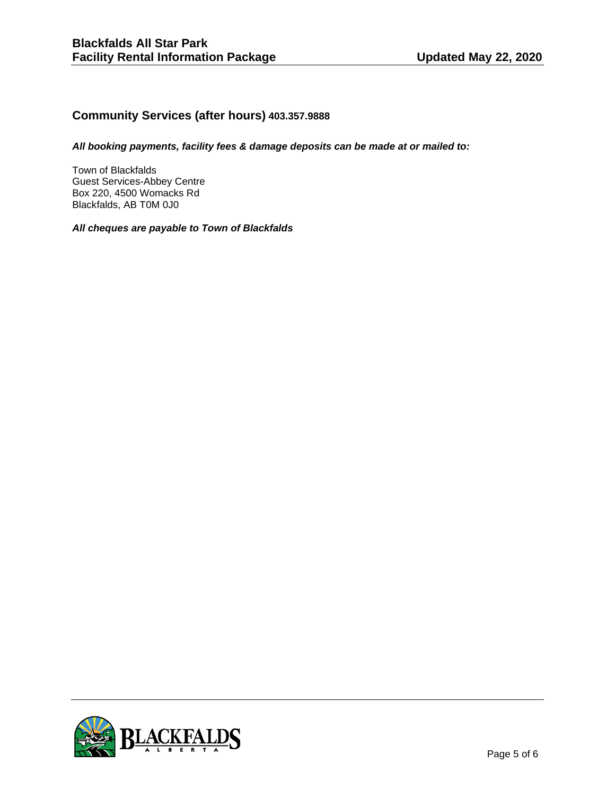### **Community Services (after hours) 403.357.9888**

*All booking payments, facility fees & damage deposits can be made at or mailed to:*

Town of Blackfalds Guest Services-Abbey Centre Box 220, 4500 Womacks Rd Blackfalds, AB T0M 0J0

*All cheques are payable to Town of Blackfalds*